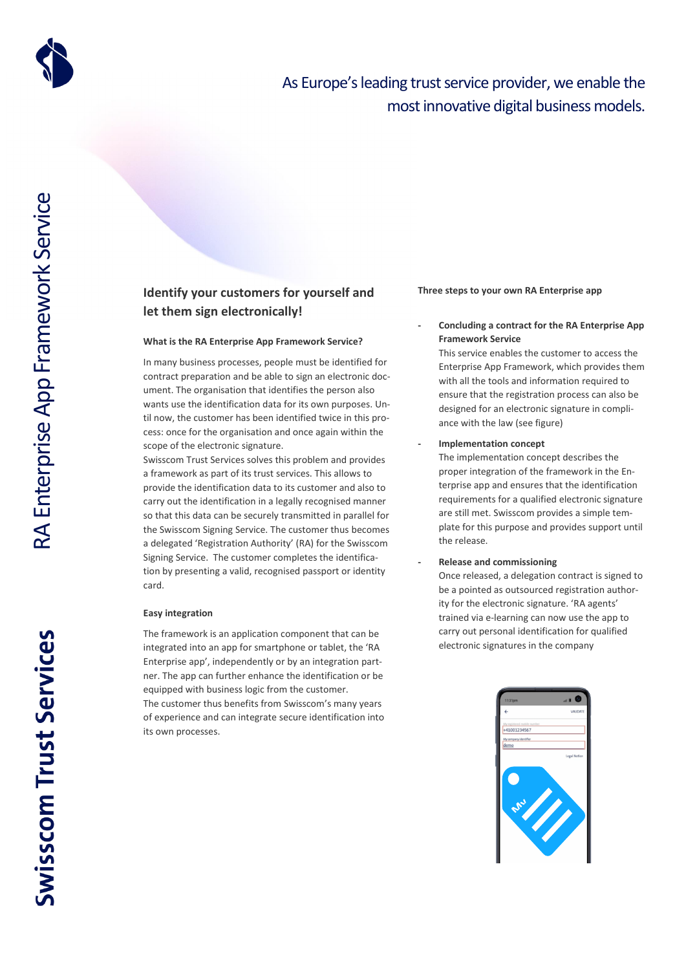

## As Europe's leading trust service provider, we enable the most innovative digital business models.

### **Identify your customers for yourself and let them sign electronically!**

#### **What is the RA Enterprise App Framework Service?**

In many business processes, people must be identified for contract preparation and be able to sign an electronic document. The organisation that identifies the person also wants use the identification data for its own purposes. Until now, the customer has been identified twice in this process: once for the organisation and once again within the scope of the electronic signature.

Swisscom Trust Services solves this problem and provides a framework as part of its trust services. This allows to provide the identification data to its customer and also to carry out the identification in a legally recognised manner so that this data can be securely transmitted in parallel for the Swisscom Signing Service. The customer thus becomes a delegated 'Registration Authority' (RA) for the Swisscom Signing Service. The customer completes the identification by presenting a valid, recognised passport or identity card.

#### **Easy integration**

The framework is an application component that can be integrated into an app for smartphone or tablet, the 'RA Enterprise app', independently or by an integration partner. The app can further enhance the identification or be equipped with business logic from the customer.

The customer thus benefits from Swisscom's many years of experience and can integrate secure identification into its own processes.

#### **Three steps to your own RA Enterprise app**

#### **- Concluding a contract for the RA Enterprise App Framework Service**

This service enables the customer to access the Enterprise App Framework, which provides them with all the tools and information required to ensure that the registration process can also be designed for an electronic signature in compliance with the law (see figure)

#### **- Implementation concept**

The implementation concept describes the proper integration of the framework in the Enterprise app and ensures that the identification requirements for a qualified electronic signature are still met. Swisscom provides a simple template for this purpose and provides support until the release.

#### **- Release and commissioning**

Once released, a delegation contract is signed to be a pointed as outsourced registration authority for the electronic signature. 'RA agents' trained via e-learning can now use the app to carry out personal identification for qualified electronic signatures in the company